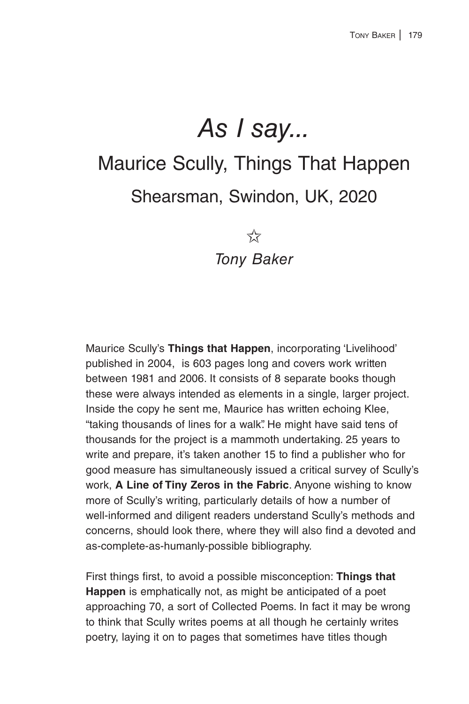## *As I say...* Maurice Scully, Things That Happen Shearsman, Swindon, UK, 2020

 $5\frac{1}{2}$ 

*Tony Baker*

Maurice Scully's **Things that Happen**, incorporating 'Livelihood' published in 2004, is 603 pages long and covers work written between 1981 and 2006. It consists of 8 separate books though these were always intended as elements in a single, larger project. Inside the copy he sent me, Maurice has written echoing Klee, "taking thousands of lines for a walk". He might have said tens of thousands for the project is a mammoth undertaking. 25 years to write and prepare, it's taken another 15 to find a publisher who for good measure has simultaneously issued a critical survey of Scully's work, **A Line of Tiny Zeros in the Fabric**. Anyone wishing to know more of Scully's writing, particularly details of how a number of well-informed and diligent readers understand Scully's methods and concerns, should look there, where they will also find a devoted and as-complete-as-humanly-possible bibliography.

First things first, to avoid a possible misconception: **Things that Happen** is emphatically not, as might be anticipated of a poet approaching 70, a sort of Collected Poems. In fact it may be wrong to think that Scully writes poems at all though he certainly writes poetry, laying it on to pages that sometimes have titles though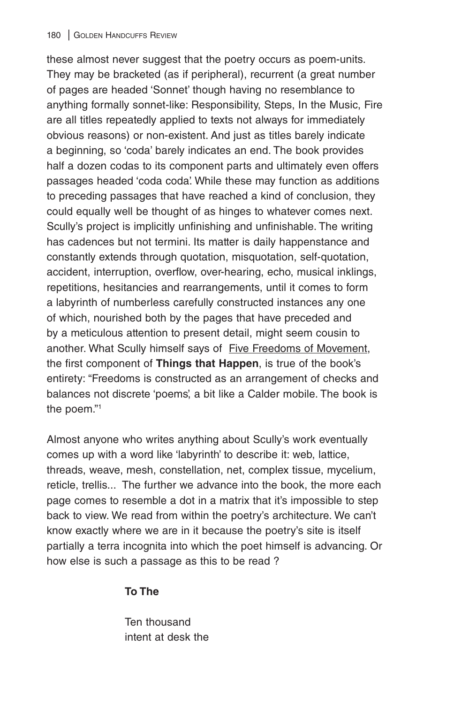these almost never suggest that the poetry occurs as poem-units. They may be bracketed (as if peripheral), recurrent (a great number of pages are headed 'Sonnet' though having no resemblance to anything formally sonnet-like: Responsibility, Steps, In the Music, Fire are all titles repeatedly applied to texts not always for immediately obvious reasons) or non-existent. And just as titles barely indicate a beginning, so 'coda' barely indicates an end. The book provides half a dozen codas to its component parts and ultimately even offers passages headed 'coda coda'. While these may function as additions to preceding passages that have reached a kind of conclusion, they could equally well be thought of as hinges to whatever comes next. Scully's project is implicitly unfinishing and unfinishable. The writing has cadences but not termini. Its matter is daily happenstance and constantly extends through quotation, misquotation, self-quotation, accident, interruption, overflow, over-hearing, echo, musical inklings, repetitions, hesitancies and rearrangements, until it comes to form a labyrinth of numberless carefully constructed instances any one of which, nourished both by the pages that have preceded and by a meticulous attention to present detail, might seem cousin to another. What Scully himself says of Five Freedoms of Movement, the first component of **Things that Happen**, is true of the book's entirety: "Freedoms is constructed as an arrangement of checks and balances not discrete 'poems', a bit like a Calder mobile. The book is the poem."1

Almost anyone who writes anything about Scully's work eventually comes up with a word like 'labyrinth' to describe it: web, lattice, threads, weave, mesh, constellation, net, complex tissue, mycelium, reticle, trellis... The further we advance into the book, the more each page comes to resemble a dot in a matrix that it's impossible to step back to view. We read from within the poetry's architecture. We can't know exactly where we are in it because the poetry's site is itself partially a terra incognita into which the poet himself is advancing. Or how else is such a passage as this to be read ?

## **To The**

Ten thousand intent at desk the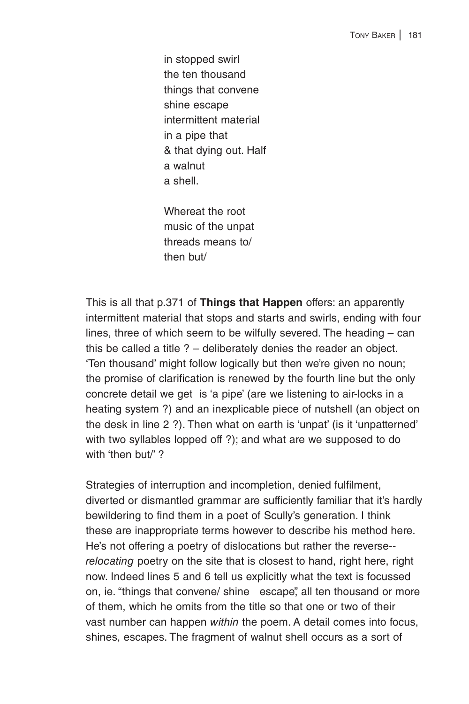in stopped swirl the ten thousand things that convene shine escape intermittent material in a pipe that & that dying out. Half a walnut a shell.

Whereat the root music of the unpat threads means to/ then but/

This is all that p.371 of **Things that Happen** offers: an apparently intermittent material that stops and starts and swirls, ending with four lines, three of which seem to be wilfully severed. The heading – can this be called a title ? – deliberately denies the reader an object. 'Ten thousand' might follow logically but then we're given no noun; the promise of clarification is renewed by the fourth line but the only concrete detail we get is 'a pipe' (are we listening to air-locks in a heating system ?) and an inexplicable piece of nutshell (an object on the desk in line 2 ?). Then what on earth is 'unpat' (is it 'unpatterned' with two syllables lopped off ?); and what are we supposed to do with 'then but/'?

Strategies of interruption and incompletion, denied fulfilment, diverted or dismantled grammar are sufficiently familiar that it's hardly bewildering to find them in a poet of Scully's generation. I think these are inappropriate terms however to describe his method here. He's not offering a poetry of dislocations but rather the reverse- *relocating* poetry on the site that is closest to hand, right here, right now. Indeed lines 5 and 6 tell us explicitly what the text is focussed on, ie. "things that convene/ shine escape", all ten thousand or more of them, which he omits from the title so that one or two of their vast number can happen *within* the poem. A detail comes into focus, shines, escapes. The fragment of walnut shell occurs as a sort of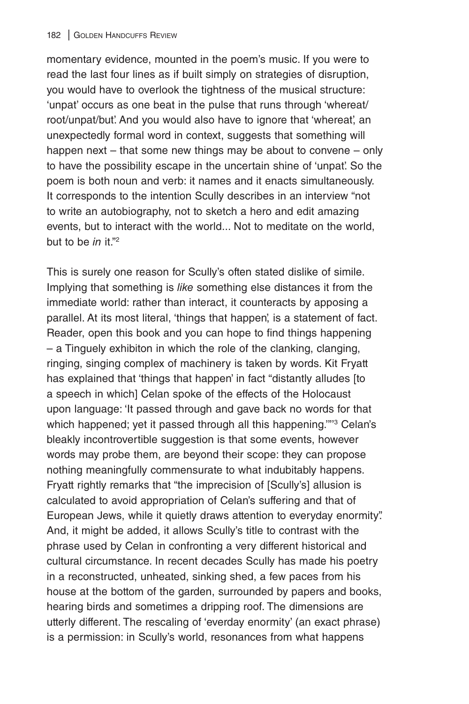momentary evidence, mounted in the poem's music. If you were to read the last four lines as if built simply on strategies of disruption, you would have to overlook the tightness of the musical structure: 'unpat' occurs as one beat in the pulse that runs through 'whereat/ root/unpat/but'. And you would also have to ignore that 'whereat', an unexpectedly formal word in context, suggests that something will happen next – that some new things may be about to convene – only to have the possibility escape in the uncertain shine of 'unpat'. So the poem is both noun and verb: it names and it enacts simultaneously. It corresponds to the intention Scully describes in an interview "not to write an autobiography, not to sketch a hero and edit amazing events, but to interact with the world... Not to meditate on the world, but to be *in* it."<sup>2</sup>

This is surely one reason for Scully's often stated dislike of simile. Implying that something is *like* something else distances it from the immediate world: rather than interact, it counteracts by apposing a parallel. At its most literal, 'things that happen', is a statement of fact. Reader, open this book and you can hope to find things happening – a Tinguely exhibiton in which the role of the clanking, clanging, ringing, singing complex of machinery is taken by words. Kit Fryatt has explained that 'things that happen' in fact "distantly alludes [to a speech in which] Celan spoke of the effects of the Holocaust upon language: 'It passed through and gave back no words for that which happened; yet it passed through all this happening.""<sup>3</sup> Celan's bleakly incontrovertible suggestion is that some events, however words may probe them, are beyond their scope: they can propose nothing meaningfully commensurate to what indubitably happens. Fryatt rightly remarks that "the imprecision of [Scully's] allusion is calculated to avoid appropriation of Celan's suffering and that of European Jews, while it quietly draws attention to everyday enormity". And, it might be added, it allows Scully's title to contrast with the phrase used by Celan in confronting a very different historical and cultural circumstance. In recent decades Scully has made his poetry in a reconstructed, unheated, sinking shed, a few paces from his house at the bottom of the garden, surrounded by papers and books, hearing birds and sometimes a dripping roof. The dimensions are utterly different. The rescaling of 'everday enormity' (an exact phrase) is a permission: in Scully's world, resonances from what happens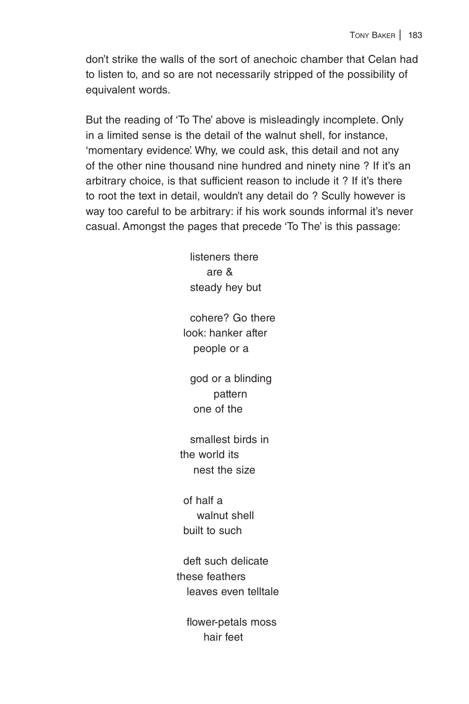don't strike the walls of the sort of anechoic chamber that Celan had to listen to, and so are not necessarily stripped of the possibility of equivalent words.

But the reading of 'To The' above is misleadingly incomplete. Only in a limited sense is the detail of the walnut shell, for instance, 'momentary evidence'. Why, we could ask, this detail and not any of the other nine thousand nine hundred and ninety nine ? If it's an arbitrary choice, is that sufficient reason to include it ? If it's there to root the text in detail, wouldn't any detail do ? Scully however is way too careful to be arbitrary: if his work sounds informal it's never casual. Amongst the pages that precede 'To The' is this passage:

> listeners there are & steady hey but

 cohere? Go there look: hanker after people or a

 god or a blinding pattern one of the

 smallest birds in the world its nest the size

 of half a walnut shell built to such

 deft such delicate these feathers leaves even telltale

 flower-petals moss hair feet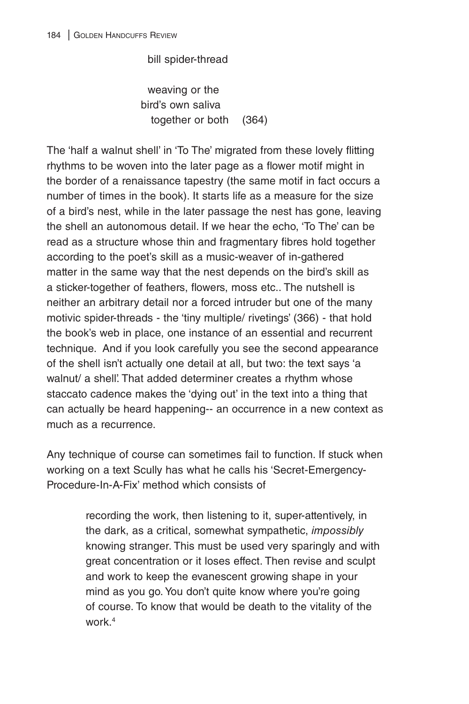bill spider-thread

 weaving or the bird's own saliva together or both (364)

The 'half a walnut shell' in 'To The' migrated from these lovely flitting rhythms to be woven into the later page as a flower motif might in the border of a renaissance tapestry (the same motif in fact occurs a number of times in the book). It starts life as a measure for the size of a bird's nest, while in the later passage the nest has gone, leaving the shell an autonomous detail. If we hear the echo, 'To The' can be read as a structure whose thin and fragmentary fibres hold together according to the poet's skill as a music-weaver of in-gathered matter in the same way that the nest depends on the bird's skill as a sticker-together of feathers, flowers, moss etc.. The nutshell is neither an arbitrary detail nor a forced intruder but one of the many motivic spider-threads - the 'tiny multiple/ rivetings' (366) - that hold the book's web in place, one instance of an essential and recurrent technique. And if you look carefully you see the second appearance of the shell isn't actually one detail at all, but two: the text says 'a walnut/ a shell'. That added determiner creates a rhythm whose staccato cadence makes the 'dying out' in the text into a thing that can actually be heard happening-- an occurrence in a new context as much as a recurrence.

Any technique of course can sometimes fail to function. If stuck when working on a text Scully has what he calls his 'Secret-Emergency-Procedure-In-A-Fix' method which consists of

> recording the work, then listening to it, super-attentively, in the dark, as a critical, somewhat sympathetic, *impossibly* knowing stranger. This must be used very sparingly and with great concentration or it loses effect. Then revise and sculpt and work to keep the evanescent growing shape in your mind as you go. You don't quite know where you're going of course. To know that would be death to the vitality of the work.4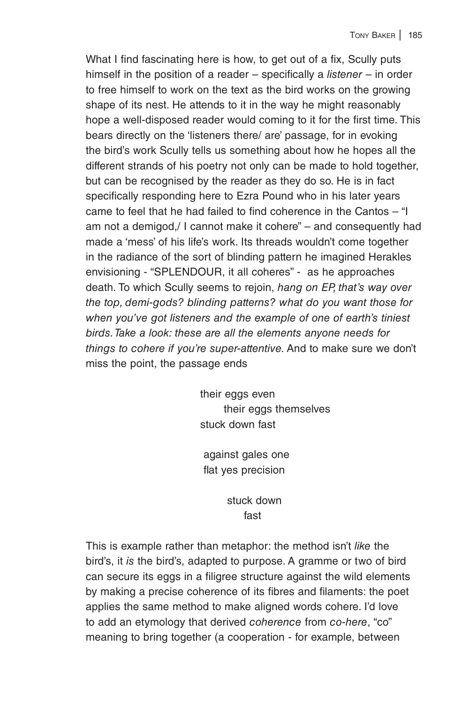What I find fascinating here is how, to get out of a fix, Scully puts himself in the position of a reader – specifically a *listener* – in order to free himself to work on the text as the bird works on the growing shape of its nest. He attends to it in the way he might reasonably hope a well-disposed reader would coming to it for the first time. This bears directly on the 'listeners there/ are' passage, for in evoking the bird's work Scully tells us something about how he hopes all the different strands of his poetry not only can be made to hold together, but can be recognised by the reader as they do so. He is in fact specifically responding here to Ezra Pound who in his later years came to feel that he had failed to find coherence in the Cantos – "I am not a demigod,/ I cannot make it cohere" – and consequently had made a 'mess' of his life's work. Its threads wouldn't come together in the radiance of the sort of blinding pattern he imagined Herakles envisioning - "SPLENDOUR, it all coheres" - as he approaches death. To which Scully seems to rejoin, *hang on EP, that's way over the top, demi-gods? blinding patterns? what do you want those for when you've got listeners and the example of one of earth's tiniest birds. Take a look: these are all the elements anyone needs for things to cohere if you're super-attentive.* And to make sure we don't miss the point, the passage ends

> their eggs even their eggs themselves stuck down fast

 against gales one flat yes precision

 stuck down fast and the contract of the contract of the contract of the contract of the contract of the contract of the c

This is example rather than metaphor: the method isn't *like* the bird's, it *is* the bird's, adapted to purpose. A gramme or two of bird can secure its eggs in a filigree structure against the wild elements by making a precise coherence of its fibres and filaments: the poet applies the same method to make aligned words cohere. I'd love to add an etymology that derived *coherence* from *co-here*, "co" meaning to bring together (a cooperation - for example, between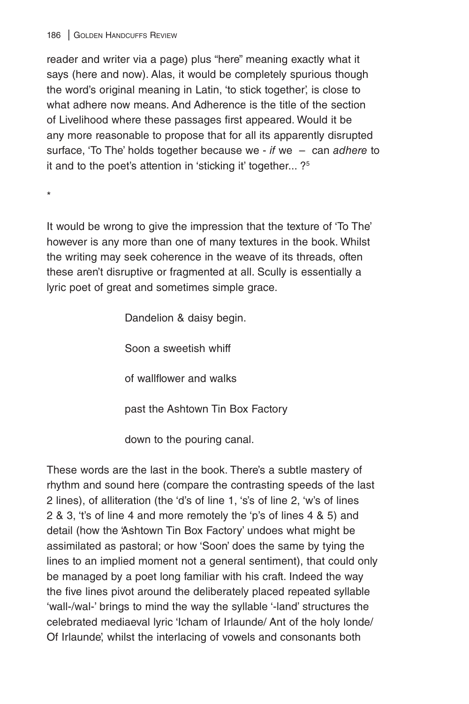reader and writer via a page) plus "here" meaning exactly what it says (here and now). Alas, it would be completely spurious though the word's original meaning in Latin, 'to stick together', is close to what adhere now means. And Adherence is the title of the section of Livelihood where these passages first appeared. Would it be any more reasonable to propose that for all its apparently disrupted surface, 'To The' holds together because we - *if* we – can *adhere* to it and to the poet's attention in 'sticking it' together... ?5

\*

It would be wrong to give the impression that the texture of 'To The' however is any more than one of many textures in the book. Whilst the writing may seek coherence in the weave of its threads, often these aren't disruptive or fragmented at all. Scully is essentially a lyric poet of great and sometimes simple grace.

> Dandelion & daisy begin. Soon a sweetish whiff of wallflower and walks past the Ashtown Tin Box Factory

down to the pouring canal.

These words are the last in the book. There's a subtle mastery of rhythm and sound here (compare the contrasting speeds of the last 2 lines), of alliteration (the 'd's of line 1, 's's of line 2, 'w's of lines 2 & 3, 't's of line 4 and more remotely the 'p's of lines 4 & 5) and detail (how the 'Ashtown Tin Box Factory' undoes what might be assimilated as pastoral; or how 'Soon' does the same by tying the lines to an implied moment not a general sentiment), that could only be managed by a poet long familiar with his craft. Indeed the way the five lines pivot around the deliberately placed repeated syllable 'wall-/wal-' brings to mind the way the syllable '-land' structures the celebrated mediaeval lyric 'Icham of Irlaunde/ Ant of the holy londe/ Of Irlaunde', whilst the interlacing of vowels and consonants both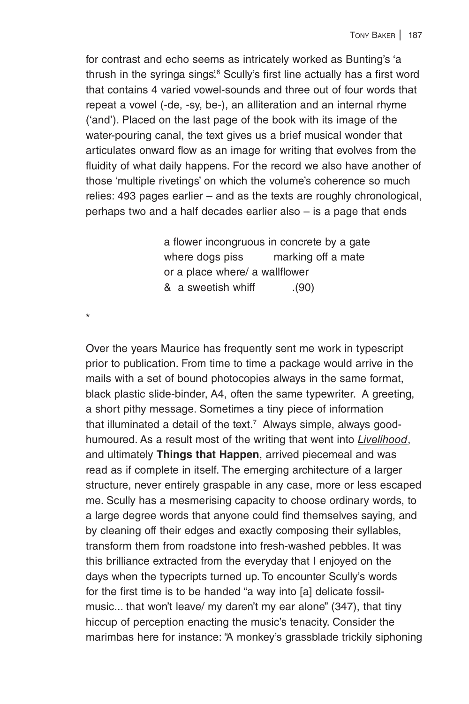for contrast and echo seems as intricately worked as Bunting's 'a thrush in the syringa sings'<sup>6</sup> Scully's first line actually has a first word that contains 4 varied vowel-sounds and three out of four words that repeat a vowel (-de, -sy, be-), an alliteration and an internal rhyme ('and'). Placed on the last page of the book with its image of the water-pouring canal, the text gives us a brief musical wonder that articulates onward flow as an image for writing that evolves from the fluidity of what daily happens. For the record we also have another of those 'multiple rivetings' on which the volume's coherence so much relies: 493 pages earlier – and as the texts are roughly chronological, perhaps two and a half decades earlier also – is a page that ends

> a flower incongruous in concrete by a gate where dogs piss marking off a mate or a place where/ a wallflower & a sweetish whiff .(90)

\*

Over the years Maurice has frequently sent me work in typescript prior to publication. From time to time a package would arrive in the mails with a set of bound photocopies always in the same format, black plastic slide-binder, A4, often the same typewriter. A greeting, a short pithy message. Sometimes a tiny piece of information that illuminated a detail of the text.<sup>7</sup> Always simple, always goodhumoured. As a result most of the writing that went into *Livelihood*, and ultimately **Things that Happen**, arrived piecemeal and was read as if complete in itself. The emerging architecture of a larger structure, never entirely graspable in any case, more or less escaped me. Scully has a mesmerising capacity to choose ordinary words, to a large degree words that anyone could find themselves saying, and by cleaning off their edges and exactly composing their syllables, transform them from roadstone into fresh-washed pebbles. It was this brilliance extracted from the everyday that I enjoyed on the days when the typecripts turned up. To encounter Scully's words for the first time is to be handed "a way into [a] delicate fossilmusic... that won't leave/ my daren't my ear alone" (347), that tiny hiccup of perception enacting the music's tenacity. Consider the marimbas here for instance: "A monkey's grassblade trickily siphoning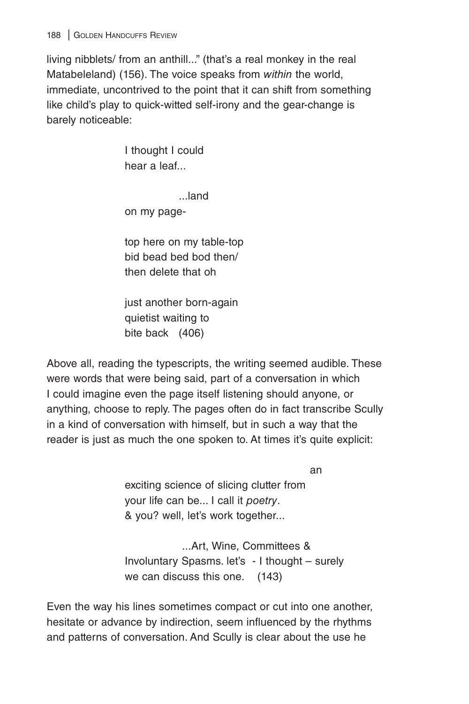living nibblets/ from an anthill..." (that's a real monkey in the real Matabeleland) (156). The voice speaks from *within* the world, immediate, uncontrived to the point that it can shift from something like child's play to quick-witted self-irony and the gear-change is barely noticeable:

> I thought I could hear a leaf...

> > ...land

on my page-

top here on my table-top bid bead bed bod then/ then delete that oh

just another born-again quietist waiting to bite back (406)

Above all, reading the typescripts, the writing seemed audible. These were words that were being said, part of a conversation in which I could imagine even the page itself listening should anyone, or anything, choose to reply. The pages often do in fact transcribe Scully in a kind of conversation with himself, but in such a way that the reader is just as much the one spoken to. At times it's quite explicit:

an

exciting science of slicing clutter from your life can be... I call it *poetry*. & you? well, let's work together...

 ...Art, Wine, Committees & Involuntary Spasms. let's - I thought – surely we can discuss this one. (143)

Even the way his lines sometimes compact or cut into one another, hesitate or advance by indirection, seem influenced by the rhythms and patterns of conversation. And Scully is clear about the use he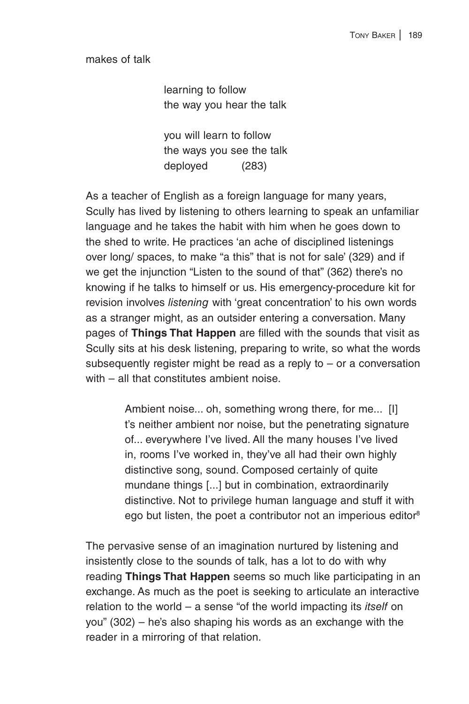makes of talk

learning to follow the way you hear the talk

you will learn to follow the ways you see the talk deployed (283)

As a teacher of English as a foreign language for many years, Scully has lived by listening to others learning to speak an unfamiliar language and he takes the habit with him when he goes down to the shed to write. He practices 'an ache of disciplined listenings over long/ spaces, to make "a this" that is not for sale' (329) and if we get the injunction "Listen to the sound of that" (362) there's no knowing if he talks to himself or us. His emergency-procedure kit for revision involves *listening* with 'great concentration' to his own words as a stranger might, as an outsider entering a conversation. Many pages of **Things That Happen** are filled with the sounds that visit as Scully sits at his desk listening, preparing to write, so what the words subsequently register might be read as a reply to – or a conversation with – all that constitutes ambient noise

> Ambient noise... oh, something wrong there, for me... [I] t's neither ambient nor noise, but the penetrating signature of... everywhere I've lived. All the many houses I've lived in, rooms I've worked in, they've all had their own highly distinctive song, sound. Composed certainly of quite mundane things [...] but in combination, extraordinarily distinctive. Not to privilege human language and stuff it with ego but listen, the poet a contributor not an imperious editor<sup>8</sup>

The pervasive sense of an imagination nurtured by listening and insistently close to the sounds of talk, has a lot to do with why reading **Things That Happen** seems so much like participating in an exchange. As much as the poet is seeking to articulate an interactive relation to the world – a sense "of the world impacting its *itself* on you" (302) – he's also shaping his words as an exchange with the reader in a mirroring of that relation.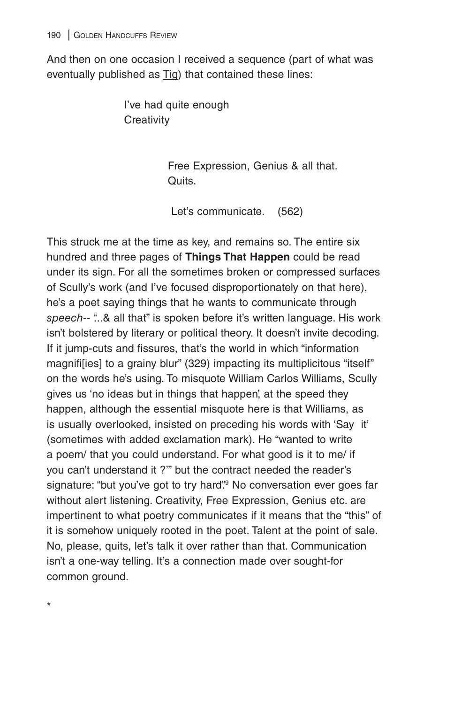\*

And then on one occasion I received a sequence (part of what was eventually published as Tig) that contained these lines:

> I've had quite enough **Creativity**

> > Free Expression, Genius & all that. Quits.

Let's communicate. (562)

This struck me at the time as key, and remains so. The entire six hundred and three pages of **Things That Happen** could be read under its sign. For all the sometimes broken or compressed surfaces of Scully's work (and I've focused disproportionately on that here), he's a poet saying things that he wants to communicate through *speech*-- "...& all that" is spoken before it's written language. His work isn't bolstered by literary or political theory. It doesn't invite decoding. If it jump-cuts and fissures, that's the world in which "information magnifi[ies] to a grainy blur" (329) impacting its multiplicitous "itself" on the words he's using. To misquote William Carlos Williams, Scully gives us 'no ideas but in things that happen', at the speed they happen, although the essential misquote here is that Williams, as is usually overlooked, insisted on preceding his words with 'Say it' (sometimes with added exclamation mark). He "wanted to write a poem/ that you could understand. For what good is it to me/ if you can't understand it ?'" but the contract needed the reader's signature: "but you've got to try hard"<sup>9</sup> No conversation ever goes far without alert listening. Creativity, Free Expression, Genius etc. are impertinent to what poetry communicates if it means that the "this" of it is somehow uniquely rooted in the poet. Talent at the point of sale. No, please, quits, let's talk it over rather than that. Communication isn't a one-way telling. It's a connection made over sought-for common ground.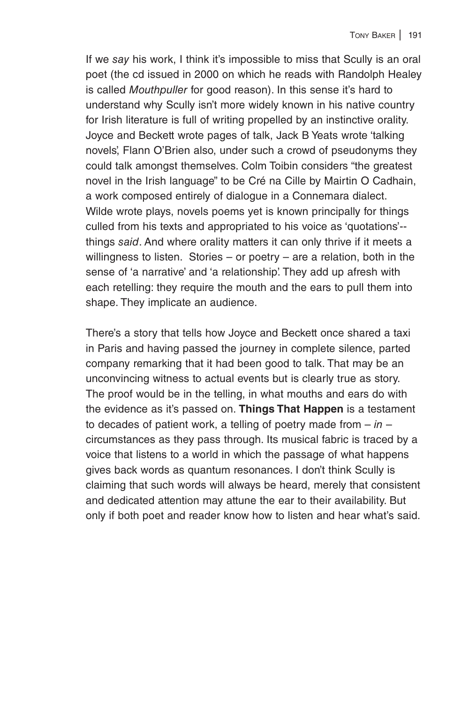If we *say* his work, I think it's impossible to miss that Scully is an oral poet (the cd issued in 2000 on which he reads with Randolph Healey is called *Mouthpuller* for good reason). In this sense it's hard to understand why Scully isn't more widely known in his native country for Irish literature is full of writing propelled by an instinctive orality. Joyce and Beckett wrote pages of talk, Jack B Yeats wrote 'talking novels', Flann O'Brien also, under such a crowd of pseudonyms they could talk amongst themselves. Colm Toibin considers "the greatest novel in the Irish language" to be Cré na Cille by Mairtin O Cadhain, a work composed entirely of dialogue in a Connemara dialect. Wilde wrote plays, novels poems yet is known principally for things culled from his texts and appropriated to his voice as 'quotations'- things *said*. And where orality matters it can only thrive if it meets a willingness to listen. Stories  $-$  or poetry  $-$  are a relation, both in the sense of 'a narrative' and 'a relationship'. They add up afresh with each retelling: they require the mouth and the ears to pull them into shape. They implicate an audience.

There's a story that tells how Joyce and Beckett once shared a taxi in Paris and having passed the journey in complete silence, parted company remarking that it had been good to talk. That may be an unconvincing witness to actual events but is clearly true as story. The proof would be in the telling, in what mouths and ears do with the evidence as it's passed on. **Things That Happen** is a testament to decades of patient work, a telling of poetry made from – *in* – circumstances as they pass through. Its musical fabric is traced by a voice that listens to a world in which the passage of what happens gives back words as quantum resonances. I don't think Scully is claiming that such words will always be heard, merely that consistent and dedicated attention may attune the ear to their availability. But only if both poet and reader know how to listen and hear what's said.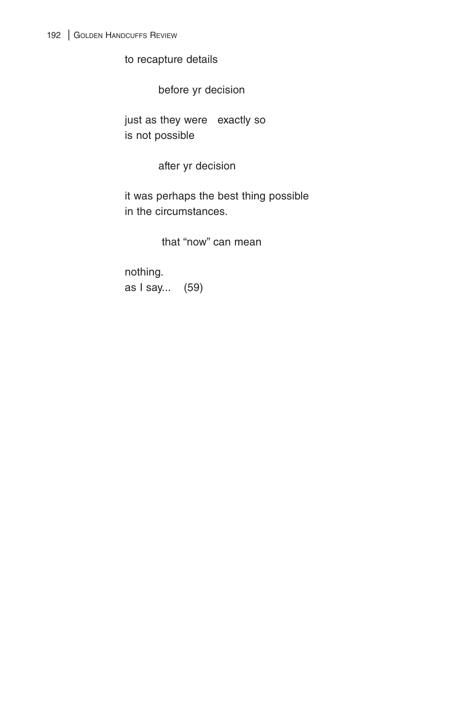to recapture details

before yr decision

just as they were exactly so is not possible

after yr decision

it was perhaps the best thing possible in the circumstances.

that "now" can mean

nothing. as I say... (59)